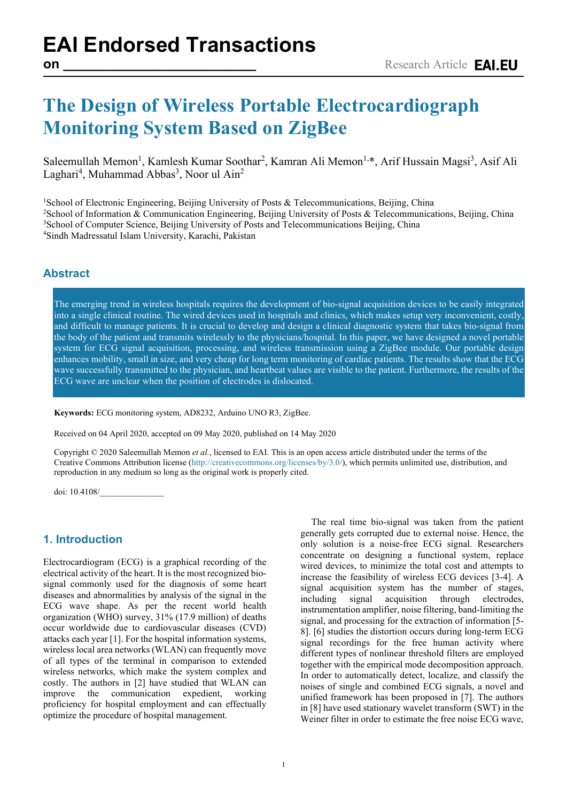# **The Design of Wireless Portable Electrocardiograph Monitoring System Based on ZigBee**

Saleemullah Memon<sup>1</sup>, Kamlesh Kumar Soothar<sup>2</sup>, Kamran Ali Memon<sup>1,\*</sup>, Arif Hussain Magsi<sup>3</sup>, Asif Ali Laghari<sup>4</sup>, Muhammad Abbas<sup>3</sup>, Noor ul Ain<sup>2</sup>

<sup>1</sup>School of Electronic Engineering, Beijing University of Posts & Telecommunications, Beijing, China 2 School of Information & Communication Engineering, Beijing University of Posts & Telecommunications, Beijing, China <sup>3</sup>School of Computer Science, Beijing University of Posts and Telecommunications Beijing, China 4 Sindh Madressatul Islam University, Karachi, Pakistan

# **Abstract**

The emerging trend in wireless hospitals requires the development of bio-signal acquisition devices to be easily integrated into a single clinical routine. The wired devices used in hospitals and clinics, which makes setup very inconvenient, costly, and difficult to manage patients. It is crucial to develop and design a clinical diagnostic system that takes bio-signal from the body of the patient and transmits wirelessly to the physicians/hospital. In this paper, we have designed a novel portable system for ECG signal acquisition, processing, and wireless transmission using a ZigBee module. Our portable design enhances mobility, small in size, and very cheap for long term monitoring of cardiac patients. The results show that the ECG wave successfully transmitted to the physician, and heartbeat values are visible to the patient. Furthermore, the results of the ECG wave are unclear when the position of electrodes is dislocated.

**Keywords:** ECG monitoring system, AD8232, Arduino UNO R3, ZigBee.

Received on 04 April 2020, accepted on 09 May 2020, published on 14 May 2020

Copyright © 2020 Saleemullah Memon *et al.*, licensed to EAI. This is an open access article distributed under the terms of the Creative Commons Attribution license [\(http://creativecommons.org/licenses/by/3.0/\)](http://creativecommons.org/licenses/by/3.0/), which permits unlimited use, distribution, and reproduction in any medium so long as the original work is properly cited.

doi: 10.4108/

#### **1. Introduction**

Electrocardiogram (ECG) is a graphical recording of the electrical activity of the heart. It is the most recognized biosignal commonly used for the diagnosis of some heart diseases and abnormalities by analysis of the signal in the ECG wave shape. As per the recent world health organization (WHO) survey, 31% (17.9 million) of deaths occur worldwide due to cardiovascular diseases (CVD) attacks each year [1]. For the hospital information systems, wireless local area networks (WLAN) can frequently move of all types of the terminal in comparison to extended wireless networks, which make the system complex and costly. The authors in [2] have studied that WLAN can improve the communication expedient, working proficiency for hospital employment and can effectually optimize the procedure of hospital management.

The real time bio-signal was taken from the patient generally gets corrupted due to external noise. Hence, the only solution is a noise-free ECG signal. Researchers concentrate on designing a functional system, replace wired devices, to minimize the total cost and attempts to increase the feasibility of wireless ECG devices [3-4]. A signal acquisition system has the number of stages, including signal acquisition through electrodes, instrumentation amplifier, noise filtering, band-limiting the signal, and processing for the extraction of information [5- 8]. [6] studies the distortion occurs during long-term ECG signal recordings for the free human activity where different types of nonlinear threshold filters are employed together with the empirical mode decomposition approach. In order to automatically detect, localize, and classify the noises of single and combined ECG signals, a novel and unified framework has been proposed in [7]. The authors in [8] have used stationary wavelet transform (SWT) in the Weiner filter in order to estimate the free noise ECG wave,

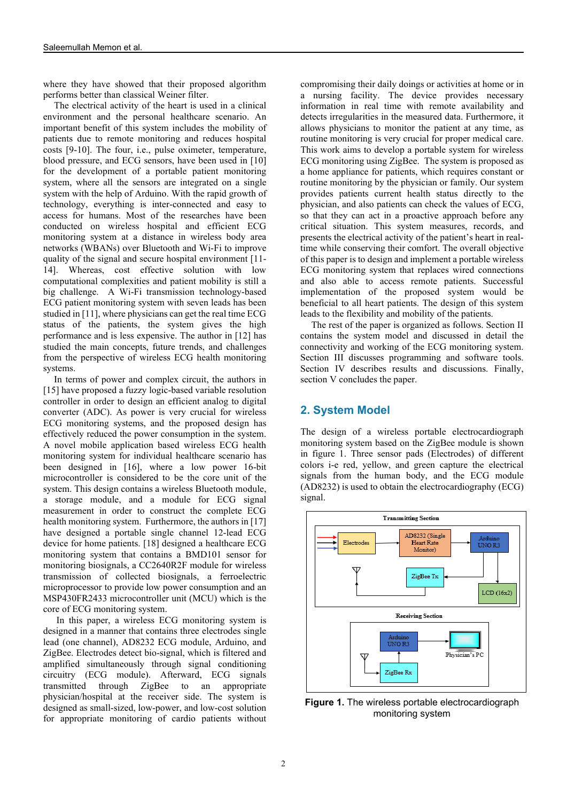where they have showed that their proposed algorithm performs better than classical Weiner filter.

The electrical activity of the heart is used in a clinical environment and the personal healthcare scenario. An important benefit of this system includes the mobility of patients due to remote monitoring and reduces hospital costs [9-10]. The four, i.e., pulse oximeter, temperature, blood pressure, and ECG sensors, have been used in [10] for the development of a portable patient monitoring system, where all the sensors are integrated on a single system with the help of Arduino. With the rapid growth of technology, everything is inter-connected and easy to access for humans. Most of the researches have been conducted on wireless hospital and efficient ECG monitoring system at a distance in wireless body area networks (WBANs) over Bluetooth and Wi-Fi to improve quality of the signal and secure hospital environment [11- 14]. Whereas, cost effective solution with low computational complexities and patient mobility is still a big challenge. A Wi-Fi transmission technology-based ECG patient monitoring system with seven leads has been studied in [11], where physicians can get the real time ECG status of the patients, the system gives the high performance and is less expensive. The author in [12] has studied the main concepts, future trends, and challenges from the perspective of wireless ECG health monitoring systems.

In terms of power and complex circuit, the authors in [15] have proposed a fuzzy logic-based variable resolution controller in order to design an efficient analog to digital converter (ADC). As power is very crucial for wireless ECG monitoring systems, and the proposed design has effectively reduced the power consumption in the system. A novel mobile application based wireless ECG health monitoring system for individual healthcare scenario has been designed in [16], where a low power 16-bit microcontroller is considered to be the core unit of the system. This design contains a wireless Bluetooth module, a storage module, and a module for ECG signal measurement in order to construct the complete ECG health monitoring system. Furthermore, the authors in [17] have designed a portable single channel 12-lead ECG device for home patients. [18] designed a healthcare ECG monitoring system that contains a BMD101 sensor for monitoring biosignals, a CC2640R2F module for wireless transmission of collected biosignals, a ferroelectric microprocessor to provide low power consumption and an MSP430FR2433 microcontroller unit (MCU) which is the core of ECG monitoring system.

In this paper, a wireless ECG monitoring system is designed in a manner that contains three electrodes single lead (one channel), AD8232 ECG module, Arduino, and ZigBee. Electrodes detect bio-signal, which is filtered and amplified simultaneously through signal conditioning circuitry (ECG module). Afterward, ECG signals transmitted through ZigBee to an appropriate physician/hospital at the receiver side. The system is designed as small-sized, low-power, and low-cost solution for appropriate monitoring of cardio patients without

compromising their daily doings or activities at home or in a nursing facility. The device provides necessary information in real time with remote availability and detects irregularities in the measured data. Furthermore, it allows physicians to monitor the patient at any time, as routine monitoring is very crucial for proper medical care. This work aims to develop a portable system for wireless ECG monitoring using ZigBee. The system is proposed as a home appliance for patients, which requires constant or routine monitoring by the physician or family. Our system provides patients current health status directly to the physician, and also patients can check the values of ECG, so that they can act in a proactive approach before any critical situation. This system measures, records, and presents the electrical activity of the patient's heart in realtime while conserving their comfort. The overall objective of this paper is to design and implement a portable wireless ECG monitoring system that replaces wired connections and also able to access remote patients. Successful implementation of the proposed system would be beneficial to all heart patients. The design of this system leads to the flexibility and mobility of the patients.

The rest of the paper is organized as follows. Section II contains the system model and discussed in detail the connectivity and working of the ECG monitoring system. Section III discusses programming and software tools. Section IV describes results and discussions. Finally, section V concludes the paper.

#### **2. System Model**

The design of a wireless portable electrocardiograph monitoring system based on the ZigBee module is shown in figure 1. Three sensor pads (Electrodes) of different colors i-e red, yellow, and green capture the electrical signals from the human body, and the ECG module (AD8232) is used to obtain the electrocardiography (ECG) signal.



**Figure 1.** The wireless portable electrocardiograph monitoring system

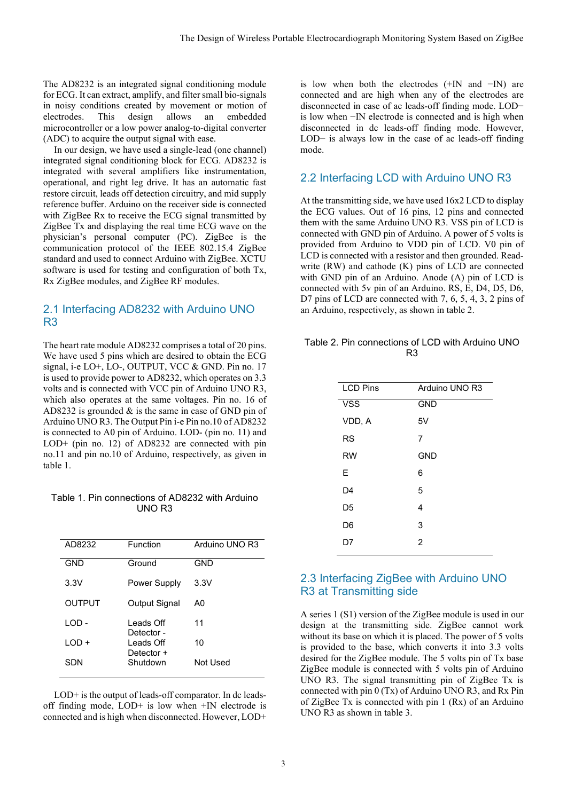The AD8232 is an integrated signal conditioning module for ECG. It can extract, amplify, and filter small bio-signals in noisy conditions created by movement or motion of electrodes. This design allows an embedded microcontroller or a low power analog-to-digital converter (ADC) to acquire the output signal with ease.

In our design, we have used a single-lead (one channel) integrated signal conditioning block for ECG. AD8232 is integrated with several amplifiers like instrumentation, operational, and right leg drive. It has an automatic fast restore circuit, leads off detection circuitry, and mid supply reference buffer. Arduino on the receiver side is connected with ZigBee Rx to receive the ECG signal transmitted by ZigBee Tx and displaying the real time ECG wave on the physician's personal computer (PC). ZigBee is the communication protocol of the IEEE 802.15.4 ZigBee standard and used to connect Arduino with ZigBee. XCTU software is used for testing and configuration of both Tx, Rx ZigBee modules, and ZigBee RF modules.

#### 2.1 Interfacing AD8232 with Arduino UNO R3

The heart rate module AD8232 comprises a total of 20 pins. We have used 5 pins which are desired to obtain the ECG signal, i-e LO+, LO-, OUTPUT, VCC & GND. Pin no. 17 is used to provide power to AD8232, which operates on 3.3 volts and is connected with VCC pin of Arduino UNO R3, which also operates at the same voltages. Pin no. 16 of AD8232 is grounded & is the same in case of GND pin of Arduino UNO R3. The Output Pin i-e Pin no.10 of AD8232 is connected to A0 pin of Arduino. LOD- (pin no. 11) and LOD+ (pin no. 12) of AD8232 are connected with pin no.11 and pin no.10 of Arduino, respectively, as given in table 1.

#### Table 1. Pin connections of AD8232 with Arduino UNO R3

| AD8232        | Function                 | Arduino UNO R3 |
|---------------|--------------------------|----------------|
| GND           | Ground                   | GND            |
| 3.3V          | Power Supply             | 3.3V           |
| <b>OUTPUT</b> | Output Signal            | A0             |
| LOD -         | I eads Off<br>Detector-  | 11             |
| $1$ OD +      | I eads Off<br>Detector + | 10             |
| SDN           | Shutdown                 | Not Used       |

LOD+ is the output of leads-off comparator. In dc leadsoff finding mode, LOD+ is low when +IN electrode is connected and is high when disconnected. However, LOD+

is low when both the electrodes (+IN and −IN) are connected and are high when any of the electrodes are disconnected in case of ac leads-off finding mode. LOD− is low when −IN electrode is connected and is high when disconnected in dc leads-off finding mode. However, LOD− is always low in the case of ac leads-off finding mode.

## 2.2 Interfacing LCD with Arduino UNO R3

At the transmitting side, we have used 16x2 LCD to display the ECG values. Out of 16 pins, 12 pins and connected them with the same Arduino UNO R3. VSS pin of LCD is connected with GND pin of Arduino. A power of 5 volts is provided from Arduino to VDD pin of LCD. V0 pin of LCD is connected with a resistor and then grounded. Readwrite (RW) and cathode (K) pins of LCD are connected with GND pin of an Arduino. Anode (A) pin of LCD is connected with 5v pin of an Arduino. RS, E, D4, D5, D6, D7 pins of LCD are connected with 7, 6, 5, 4, 3, 2 pins of an Arduino, respectively, as shown in table 2.

| Table 2. Pin connections of LCD with Arduino UNO |  |
|--------------------------------------------------|--|
| R3                                               |  |

| <b>LCD Pins</b> | Arduino UNO R3 |
|-----------------|----------------|
| <b>VSS</b>      | <b>GND</b>     |
| VDD, A          | 5V             |
| <b>RS</b>       | 7              |
| <b>RW</b>       | <b>GND</b>     |
| Е               | 6              |
| D <sub>4</sub>  | 5              |
| D5              | 4              |
| D6              | 3              |
| D7              | $\overline{2}$ |
|                 |                |

# 2.3 Interfacing ZigBee with Arduino UNO R3 at Transmitting side

A series 1 (S1) version of the ZigBee module is used in our design at the transmitting side. ZigBee cannot work without its base on which it is placed. The power of 5 volts is provided to the base, which converts it into 3.3 volts desired for the ZigBee module. The 5 volts pin of Tx base ZigBee module is connected with 5 volts pin of Arduino UNO R3. The signal transmitting pin of ZigBee Tx is connected with pin 0 (Tx) of Arduino UNO R3, and Rx Pin of ZigBee Tx is connected with pin 1 (Rx) of an Arduino UNO R3 as shown in table 3.

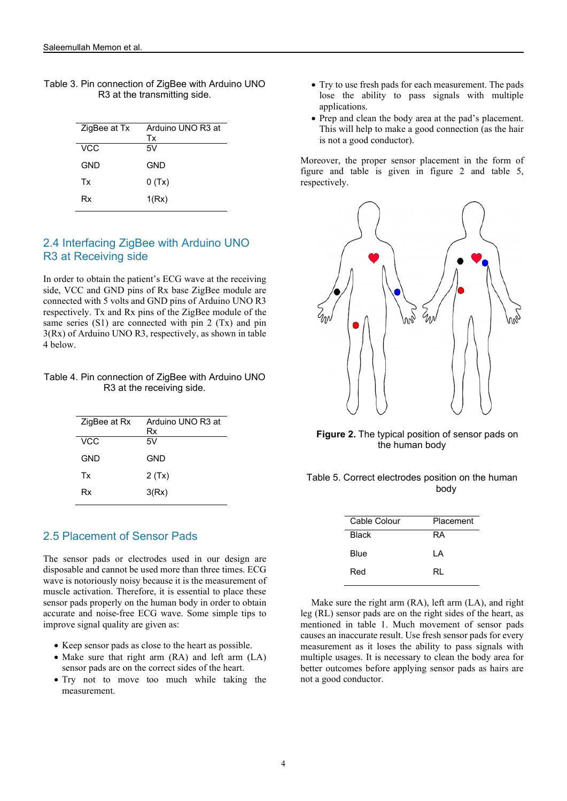| ZigBee at Tx | Arduino UNO R3 at<br>Тx |
|--------------|-------------------------|
| VCC          | 5V                      |
| GND          | GND                     |
| Tx           | 0(Tx)                   |
| Rx           | 1(Rx)                   |

Table 3. Pin connection of ZigBee with Arduino UNO R3 at the transmitting side.

# 2.4 Interfacing ZigBee with Arduino UNO R3 at Receiving side

In order to obtain the patient's ECG wave at the receiving side, VCC and GND pins of Rx base ZigBee module are connected with 5 volts and GND pins of Arduino UNO R3 respectively. Tx and Rx pins of the ZigBee module of the same series (S1) are connected with pin 2 (Tx) and pin 3(Rx) of Arduino UNO R3, respectively, as shown in table 4 below.

Table 4. Pin connection of ZigBee with Arduino UNO R3 at the receiving side.

| ZigBee at Rx | Arduino UNO R3 at<br>Rx |
|--------------|-------------------------|
| VCC          | 5V                      |
| GND          | GND                     |
| Tx           | 2(Tx)                   |
| Rx           | 3(Rx)                   |
|              |                         |

#### 2.5 Placement of Sensor Pads

The sensor pads or electrodes used in our design are disposable and cannot be used more than three times. ECG wave is notoriously noisy because it is the measurement of muscle activation. Therefore, it is essential to place these sensor pads properly on the human body in order to obtain accurate and noise-free ECG wave. Some simple tips to improve signal quality are given as:

- Keep sensor pads as close to the heart as possible.
- Make sure that right arm (RA) and left arm (LA) sensor pads are on the correct sides of the heart.
- Try not to move too much while taking the measurement.
- Try to use fresh pads for each measurement. The pads lose the ability to pass signals with multiple applications.
- Prep and clean the body area at the pad's placement. This will help to make a good connection (as the hair is not a good conductor).

Moreover, the proper sensor placement in the form of figure and table is given in figure 2 and table 5, respectively.



**Figure 2.** The typical position of sensor pads on the human body

| Table 5. Correct electrodes position on the human |  |
|---------------------------------------------------|--|
| body                                              |  |

| Cable Colour | Placement |
|--------------|-----------|
| <b>Black</b> | RA        |
| Blue         | ΙA        |
| Red          | RL        |
|              |           |

Make sure the right arm (RA), left arm (LA), and right leg (RL) sensor pads are on the right sides of the heart, as mentioned in table 1. Much movement of sensor pads causes an inaccurate result. Use fresh sensor pads for every measurement as it loses the ability to pass signals with multiple usages. It is necessary to clean the body area for better outcomes before applying sensor pads as hairs are not a good conductor.

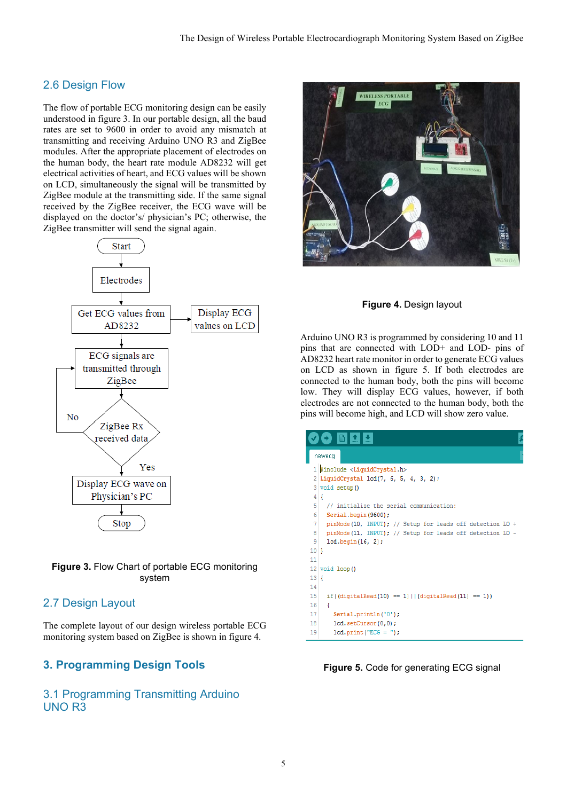# 2.6 Design Flow

The flow of portable ECG monitoring design can be easily understood in figure 3. In our portable design, all the baud rates are set to 9600 in order to avoid any mismatch at transmitting and receiving Arduino UNO R3 and ZigBee modules. After the appropriate placement of electrodes on the human body, the heart rate module AD8232 will get electrical activities of heart, and ECG values will be shown on LCD, simultaneously the signal will be transmitted by ZigBee module at the transmitting side. If the same signal received by the ZigBee receiver, the ECG wave will be displayed on the doctor's/ physician's PC; otherwise, the ZigBee transmitter will send the signal again.





# 2.7 Design Layout

The complete layout of our design wireless portable ECG monitoring system based on ZigBee is shown in figure 4.

# **3. Programming Design Tools**

3.1 Programming Transmitting Arduino UNO R3



**Figure 4.** Design layout

Arduino UNO R3 is programmed by considering 10 and 11 pins that are connected with LOD+ and LOD- pins of AD8232 heart rate monitor in order to generate ECG values on LCD as shown in figure 5. If both electrodes are connected to the human body, both the pins will become low. They will display ECG values, however, if both electrodes are not connected to the human body, both the pins will become high, and LCD will show zero value.

|             | newecq                                                    |
|-------------|-----------------------------------------------------------|
|             | 1 #include <liquidcrystal.h></liquidcrystal.h>            |
|             | $2$ LiquidCrystal 1cd(7, 6, 5, 4, 3, 2);                  |
|             | 3 void setup()                                            |
| $4 \mid \{$ |                                                           |
| 5           | // initialize the serial communication:                   |
| 6           | Serial.begin(9600);                                       |
| 7           | pinMode(10, INPUT); // Setup for leads off detection LO + |
| 8           | pinMode(11, INPUT); // Setup for leads off detection LO - |
| 9           | $lcd.$ begin $(16, 2)$ ;                                  |
| 10 1        |                                                           |
| 11          |                                                           |
|             | $12$ void loop()                                          |
| 13          |                                                           |
| 14          |                                                           |
| 15          | if((digitalRead(10) == 1)   $ $ (digitalRead(11) == 1))   |
| 16          | ł                                                         |
| 17          | Serial.println('0');                                      |
| 18          | lcd.setCursor(0,0);                                       |
| 19          | $lcd.print("ECG = ");$                                    |

**Figure 5.** Code for generating ECG signal

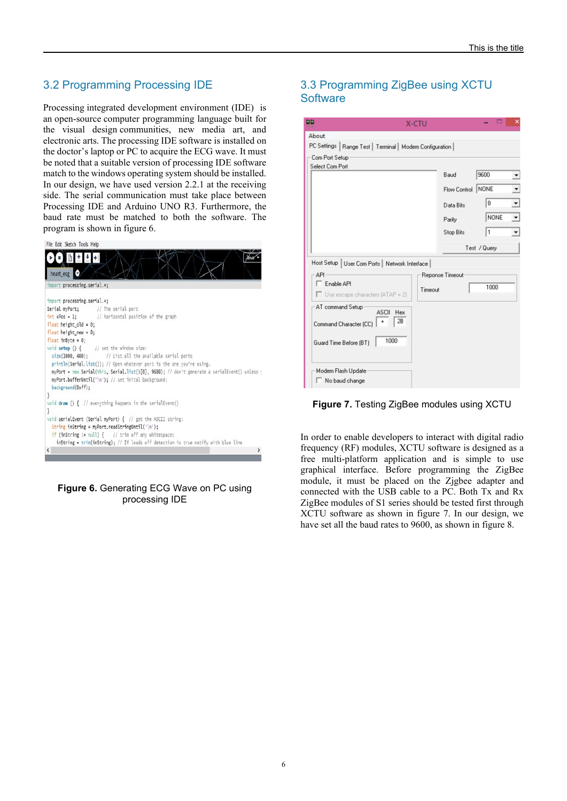# 3.2 Programming Processing IDE

Processing integrated development environment (IDE) is an [open-source](https://en.wikipedia.org/wiki/Open-source_software) [computer programming language](https://en.wikipedia.org/wiki/Programming_language) built for the [visual design](https://en.wikipedia.org/wiki/Visual_design) communities, [new media art,](https://en.wikipedia.org/wiki/New_media_art) and electronic arts. The processing IDE software is installed on the doctor's laptop or PC to acquire the ECG wave. It must be noted that a suitable version of processing IDE software match to the windows operating system should be installed. In our design, we have used version 2.2.1 at the receiving side. The serial communication must take place between Processing IDE and Arduino UNO R3. Furthermore, the baud rate must be matched to both the software. The program is shown in figure 6.



#### **Figure 6.** Generating ECG Wave on PC using processing IDE

# 3.3 Programming ZigBee using XCTU **Software**

| ᄜ                                                                                                                          | <b>X-CTU</b>                      |                   |      | ×                                                    |
|----------------------------------------------------------------------------------------------------------------------------|-----------------------------------|-------------------|------|------------------------------------------------------|
| About<br>PC Settings   Range Test   Terminal   Modem Configuration                                                         |                                   |                   |      |                                                      |
| Com Port Setup<br>Select Com Port                                                                                          | Baud<br>Flow Control<br>Data Bits | 9600<br>NONE<br>8 |      | ▼<br>▾                                               |
|                                                                                                                            | Parity<br>Stop Bits               | 1<br>Test / Query | NONE | $\overline{\phantom{a}}$<br>$\overline{\phantom{a}}$ |
| Host Setup   User Com Ports   Network Interface  <br>API<br>$\Gamma$ Enable API<br>$\Box$ Use escape characters (ATAP = 2) | Reponse Timeout<br>Timeout        |                   | 1000 |                                                      |
| AT command Setup<br>ASCII<br>Hex<br>28<br>Command Character (CC)<br>1000<br>Guard Time Before (BT)                         |                                   |                   |      |                                                      |
| Modem Flash Update<br>$\Box$ No baud change                                                                                |                                   |                   |      |                                                      |



In order to enable developers to interact with digital radio frequency (RF) modules, XCTU software is designed as a free multi-platform application and is simple to use graphical interface. Before programming the ZigBee module, it must be placed on the Zjgbee adapter and connected with the USB cable to a PC. Both Tx and Rx ZigBee modules of S1 series should be tested first through XCTU software as shown in figure 7. In our design, we have set all the baud rates to 9600, as shown in figure 8.

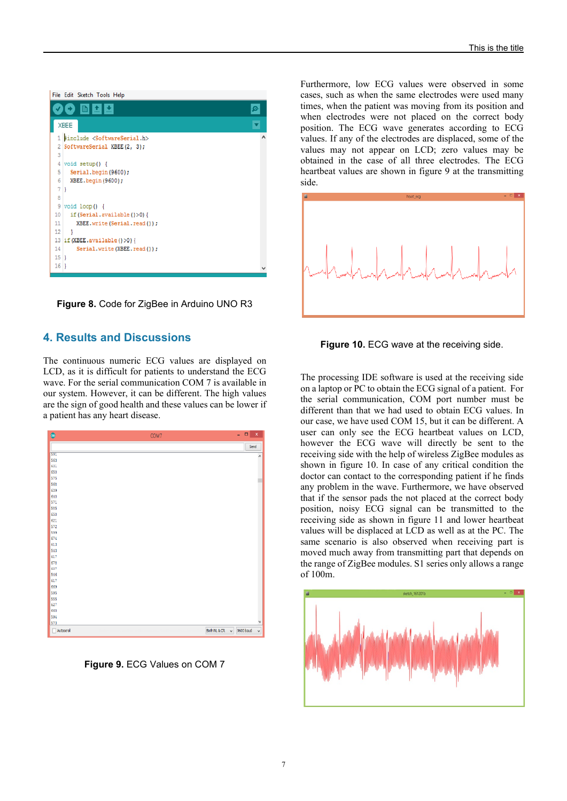File Edit Sketch Tools Help

|                 | 土土                                               |  |
|-----------------|--------------------------------------------------|--|
|                 | XBEE                                             |  |
|                 | 1 #include <softwareserial.h></softwareserial.h> |  |
|                 | 2 SoftwareSerial XBEE(2, 3);                     |  |
| 3               |                                                  |  |
|                 | $4$ void setup() {                               |  |
| 5               | Serial.begin(9600);                              |  |
| 6               | XBEE.begin(9600);                                |  |
| 7 1             |                                                  |  |
| 8               |                                                  |  |
|                 | $9$ void loop() {                                |  |
| 10              | if(Serial.available()>0){                        |  |
| 11              | XBEE.write(Serial.read());                       |  |
| 12 <sup>°</sup> |                                                  |  |
|                 | 13 if (XBEE.available() >0) {                    |  |
| 14              | Serial.write(XBEE.read());                       |  |
| $15$ }          |                                                  |  |
| $16$ }          |                                                  |  |
|                 |                                                  |  |

**Figure 8.** Code for ZigBee in Arduino UNO R3

#### **4. Results and Discussions**

The continuous numeric ECG values are displayed on LCD, as it is difficult for patients to understand the ECG wave. For the serial communication COM 7 is available in our system. However, it can be different. The high values are the sign of good health and these values can be lower if a patient has any heart disease.



**Figure 9. ECG Values on COM 7** 

Furthermore, low ECG values were observed in some cases, such as when the same electrodes were used many times, when the patient was moving from its position and when electrodes were not placed on the correct body position. The ECG wave generates according to ECG values. If any of the electrodes are displaced, some of the values may not appear on LCD; zero values may be obtained in the case of all three electrodes. The ECG heartbeat values are shown in figure 9 at the transmitting side.



**Figure 10.** ECG wave at the receiving side.

The processing IDE software is used at the receiving side on a laptop or PC to obtain the ECG signal of a patient. For the serial communication, COM port number must be different than that we had used to obtain ECG values. In our case, we have used COM 15, but it can be different. A user can only see the ECG heartbeat values on LCD, however the ECG wave will directly be sent to the receiving side with the help of wireless ZigBee modules as shown in figure 10. In case of any critical condition the doctor can contact to the corresponding patient if he finds any problem in the wave. Furthermore, we have observed that if the sensor pads the not placed at the correct body position, noisy ECG signal can be transmitted to the receiving side as shown in figure 11 and lower heartbeat values will be displaced at LCD as well as at the PC. The same scenario is also observed when receiving part is moved much away from transmitting part that depends on the range of ZigBee modules. S1 series only allows a range of 100m.